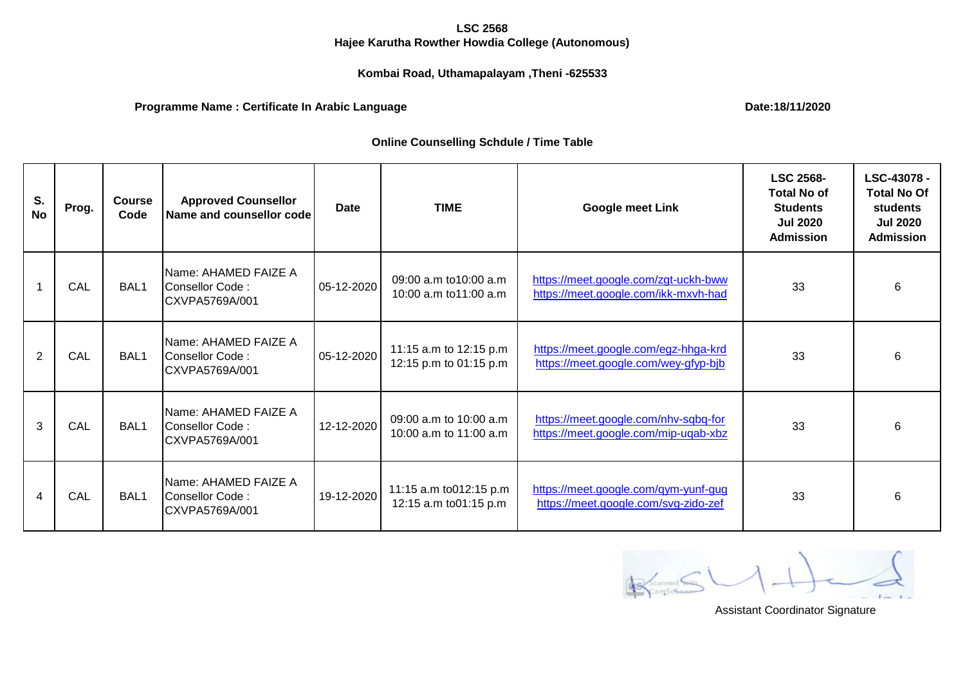#### **LSC 2568**

# **Hajee Karutha Rowther Howdia College (Autonomous)**

# **Kombai Road, Uthamapalayam ,Theni -625533**

# **Programme Name : Certificate In Arabic Language**

**Date:18/11/2020**

# **Online Counselling Schdule / Time Table**

| S.<br><b>No</b> | Prog. | <b>Course</b><br>Code | <b>Approved Counsellor</b><br>Name and counsellor code    | <b>Date</b> | <b>TIME</b>                                        | <b>Google meet Link</b>                                                      | <b>LSC 2568-</b><br><b>Total No of</b><br><b>Students</b><br><b>Jul 2020</b><br><b>Admission</b> | LSC-43078 -<br><b>Total No Of</b><br><b>students</b><br><b>Jul 2020</b><br><b>Admission</b> |
|-----------------|-------|-----------------------|-----------------------------------------------------------|-------------|----------------------------------------------------|------------------------------------------------------------------------------|--------------------------------------------------------------------------------------------------|---------------------------------------------------------------------------------------------|
|                 | CAL   | BAL1                  | Name: AHAMED FAIZE A<br>Consellor Code:<br>CXVPA5769A/001 | 05-12-2020  | 09:00 a.m to10:00 a.m<br>10:00 a.m to11:00 a.m     | https://meet.google.com/zgt-uckh-bww<br>https://meet.google.com/ikk-mxvh-had | 33                                                                                               | 6                                                                                           |
| $\overline{2}$  | CAL   | BAL <sub>1</sub>      | Name: AHAMED FAIZE A<br>Consellor Code:<br>CXVPA5769A/001 | 05-12-2020  | 11:15 a.m to 12:15 p.m<br>12:15 p.m to 01:15 p.m   | https://meet.google.com/egz-hhga-krd<br>https://meet.google.com/wey-gfyp-bjb | 33                                                                                               | 6                                                                                           |
| 3               | CAL   | BAL1                  | Name: AHAMED FAIZE A<br>Consellor Code:<br>CXVPA5769A/001 | 12-12-2020  | 09:00 a.m to 10:00 a.m<br>10:00 a.m to $11:00$ a.m | https://meet.google.com/nhv-sqbq-for<br>https://meet.google.com/mip-uqab-xbz | 33                                                                                               | 6                                                                                           |
| 4               | CAL   | BAL <sub>1</sub>      | Name: AHAMED FAIZE A<br>Consellor Code:<br>CXVPA5769A/001 | 19-12-2020  | 11:15 a.m to 012:15 p.m<br>12:15 a.m to01:15 p.m   | https://meet.google.com/qym-yunf-gug<br>https://meet.google.com/svg-zido-zef | 33                                                                                               | 6                                                                                           |

Scanned Site J  $\sim$ 

Assistant Coordinator Signature